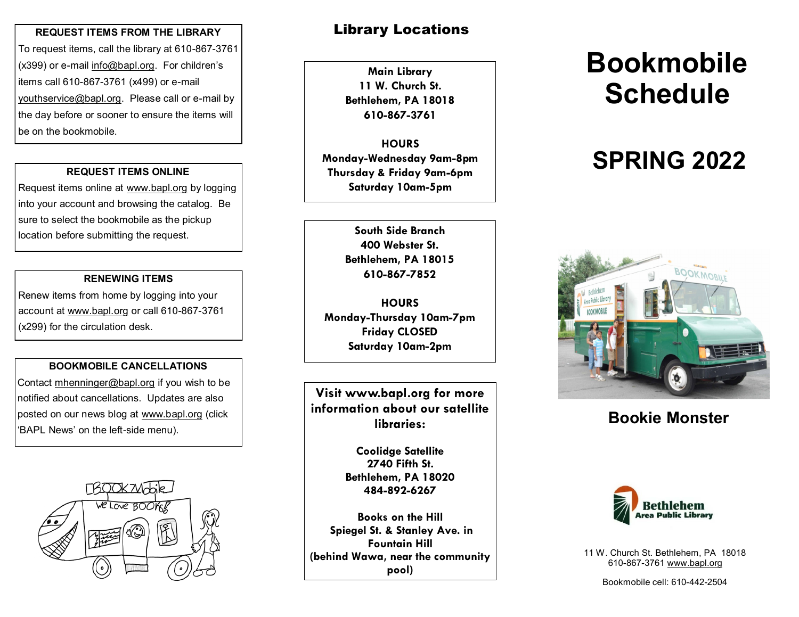#### **REQUEST ITEMS FROM THE LIBRARY**

To request items, call the library at 610-867-3761 (x399) or e-mail info@bapl.org. For children's items call 610-867-3761 (x499) or e-mail youthservice@bapl.org. Please call or e-mail by the day before or sooner to ensure the items will be on the bookmobile.

#### **REQUEST ITEMS ONLINE**

Request items online at www.bapl.org by logging into your account and browsing the catalog. Be sure to select the bookmobile as the pickup location before submitting the request.

#### **RENEWING ITEMS**

Renew items from home by logging into your account at www.bapl.org or call 610-867-3761 (x299) for the circulation desk.

#### **BOOKMOBILE CANCELLATIONS**

Contact mhenninger@bapl.org if you wish to be notified about cancellations. Updates are also posted on our news blog at www.bapl.org (click 'BAPL News' on the left-side menu).



## Library Locations

**Main Library 11 W. Church St. Bethlehem, PA 18018 610-867-3761**

**HOURS Monday-Wednesday 9am-8pm Thursday & Friday 9am-6pm Saturday 10am-5pm**

> **400 Webster St. Bethlehem, PA 18015 610-867-7852**

**HOURS Monday-Thursday 10am-7pm Friday CLOSED Saturday 10am-2pm**

**Visit www.bapl.org for more information about our satellite libraries:**

> **Coolidge Satellite 2740 Fifth St. Bethlehem, PA 18020 484-892-6267**

**Books on the Hill Spiegel St. & Stanley Ave. in Fountain Hill (behind Wawa, near the community pool)**

# **Bookmobile Schedule**

## **SPRING 2022**



## **Bookie Monster**



11 W. Church St. Bethlehem, PA 18018 610-867-3761 www.bapl.org

Bookmobile cell: 610-442-2504